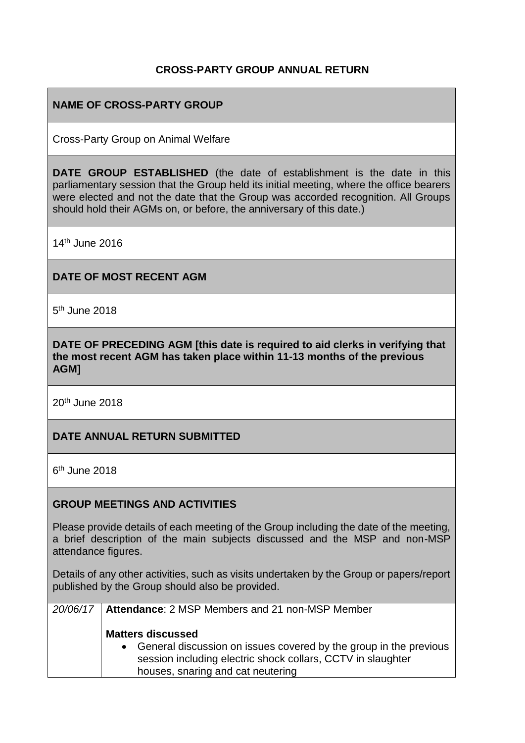#### **CROSS-PARTY GROUP ANNUAL RETURN**

### **NAME OF CROSS-PARTY GROUP**

Cross-Party Group on Animal Welfare

**DATE GROUP ESTABLISHED** (the date of establishment is the date in this parliamentary session that the Group held its initial meeting, where the office bearers were elected and not the date that the Group was accorded recognition. All Groups should hold their AGMs on, or before, the anniversary of this date.)

14th June 2016

#### **DATE OF MOST RECENT AGM**

5<sup>th</sup> June 2018

**DATE OF PRECEDING AGM [this date is required to aid clerks in verifying that the most recent AGM has taken place within 11-13 months of the previous AGM]**

20th June 2018

#### **DATE ANNUAL RETURN SUBMITTED**

6<sup>th</sup> June 2018

#### **GROUP MEETINGS AND ACTIVITIES**

Please provide details of each meeting of the Group including the date of the meeting, a brief description of the main subjects discussed and the MSP and non-MSP attendance figures.

Details of any other activities, such as visits undertaken by the Group or papers/report published by the Group should also be provided.

| 20/06/17   Attendance: 2 MSP Members and 21 non-MSP Member                                                                                                                                          |  |
|-----------------------------------------------------------------------------------------------------------------------------------------------------------------------------------------------------|--|
| <b>Matters discussed</b><br>• General discussion on issues covered by the group in the previous<br>session including electric shock collars, CCTV in slaughter<br>houses, snaring and cat neutering |  |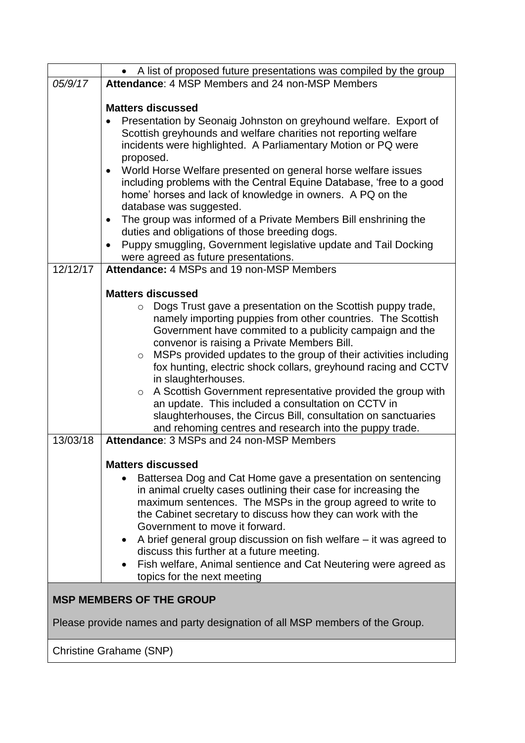|                                                                             | A list of proposed future presentations was compiled by the group                                                                   |  |  |
|-----------------------------------------------------------------------------|-------------------------------------------------------------------------------------------------------------------------------------|--|--|
| 05/9/17                                                                     | Attendance: 4 MSP Members and 24 non-MSP Members                                                                                    |  |  |
|                                                                             |                                                                                                                                     |  |  |
|                                                                             | <b>Matters discussed</b>                                                                                                            |  |  |
|                                                                             | Presentation by Seonaig Johnston on greyhound welfare. Export of<br>Scottish greyhounds and welfare charities not reporting welfare |  |  |
|                                                                             | incidents were highlighted. A Parliamentary Motion or PQ were                                                                       |  |  |
|                                                                             | proposed.                                                                                                                           |  |  |
|                                                                             | World Horse Welfare presented on general horse welfare issues<br>$\bullet$                                                          |  |  |
|                                                                             | including problems with the Central Equine Database, 'free to a good                                                                |  |  |
|                                                                             | home' horses and lack of knowledge in owners. A PQ on the                                                                           |  |  |
|                                                                             | database was suggested.                                                                                                             |  |  |
|                                                                             | The group was informed of a Private Members Bill enshrining the<br>$\bullet$                                                        |  |  |
|                                                                             | duties and obligations of those breeding dogs.<br>Puppy smuggling, Government legislative update and Tail Docking                   |  |  |
|                                                                             | were agreed as future presentations.                                                                                                |  |  |
| 12/12/17                                                                    | Attendance: 4 MSPs and 19 non-MSP Members                                                                                           |  |  |
|                                                                             |                                                                                                                                     |  |  |
|                                                                             | <b>Matters discussed</b>                                                                                                            |  |  |
|                                                                             | Dogs Trust gave a presentation on the Scottish puppy trade,<br>$\circ$                                                              |  |  |
|                                                                             | namely importing puppies from other countries. The Scottish                                                                         |  |  |
|                                                                             | Government have commited to a publicity campaign and the                                                                            |  |  |
|                                                                             | convenor is raising a Private Members Bill.<br>MSPs provided updates to the group of their activities including<br>$\circ$          |  |  |
|                                                                             | fox hunting, electric shock collars, greyhound racing and CCTV                                                                      |  |  |
|                                                                             | in slaughterhouses.                                                                                                                 |  |  |
|                                                                             | A Scottish Government representative provided the group with<br>$\circ$                                                             |  |  |
|                                                                             | an update. This included a consultation on CCTV in                                                                                  |  |  |
|                                                                             | slaughterhouses, the Circus Bill, consultation on sanctuaries                                                                       |  |  |
|                                                                             | and rehoming centres and research into the puppy trade.<br>Attendance: 3 MSPs and 24 non-MSP Members                                |  |  |
| 13/03/18                                                                    |                                                                                                                                     |  |  |
|                                                                             | <b>Matters discussed</b>                                                                                                            |  |  |
|                                                                             | Battersea Dog and Cat Home gave a presentation on sentencing                                                                        |  |  |
|                                                                             | in animal cruelty cases outlining their case for increasing the                                                                     |  |  |
|                                                                             | maximum sentences. The MSPs in the group agreed to write to                                                                         |  |  |
|                                                                             | the Cabinet secretary to discuss how they can work with the                                                                         |  |  |
|                                                                             | Government to move it forward.                                                                                                      |  |  |
|                                                                             | A brief general group discussion on fish welfare – it was agreed to<br>discuss this further at a future meeting.                    |  |  |
|                                                                             | Fish welfare, Animal sentience and Cat Neutering were agreed as                                                                     |  |  |
|                                                                             | topics for the next meeting                                                                                                         |  |  |
|                                                                             |                                                                                                                                     |  |  |
| <b>MSP MEMBERS OF THE GROUP</b>                                             |                                                                                                                                     |  |  |
| Please provide names and party designation of all MSP members of the Group. |                                                                                                                                     |  |  |
|                                                                             |                                                                                                                                     |  |  |
| <b>Christine Grahame (SNP)</b>                                              |                                                                                                                                     |  |  |
|                                                                             |                                                                                                                                     |  |  |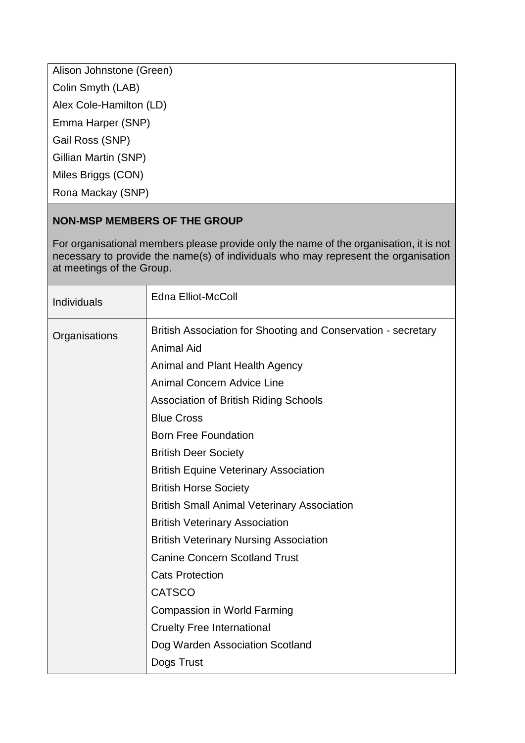Alison Johnstone (Green)

Colin Smyth (LAB)

Alex Cole-Hamilton (LD)

Emma Harper (SNP)

Gail Ross (SNP)

Gillian Martin (SNP)

Miles Briggs (CON)

Rona Mackay (SNP)

# **NON-MSP MEMBERS OF THE GROUP**

For organisational members please provide only the name of the organisation, it is not necessary to provide the name(s) of individuals who may represent the organisation at meetings of the Group.

| Individuals   | <b>Edna Elliot-McColl</b>                                                          |
|---------------|------------------------------------------------------------------------------------|
| Organisations | British Association for Shooting and Conservation - secretary<br><b>Animal Aid</b> |
|               | Animal and Plant Health Agency                                                     |
|               | <b>Animal Concern Advice Line</b>                                                  |
|               | <b>Association of British Riding Schools</b>                                       |
|               | <b>Blue Cross</b>                                                                  |
|               | <b>Born Free Foundation</b>                                                        |
|               | <b>British Deer Society</b>                                                        |
|               | <b>British Equine Veterinary Association</b>                                       |
|               | <b>British Horse Society</b>                                                       |
|               | <b>British Small Animal Veterinary Association</b>                                 |
|               | <b>British Veterinary Association</b>                                              |
|               | <b>British Veterinary Nursing Association</b>                                      |
|               | <b>Canine Concern Scotland Trust</b>                                               |
|               | <b>Cats Protection</b>                                                             |
|               | <b>CATSCO</b>                                                                      |
|               | <b>Compassion in World Farming</b>                                                 |
|               | <b>Cruelty Free International</b>                                                  |
|               | Dog Warden Association Scotland                                                    |
|               | Dogs Trust                                                                         |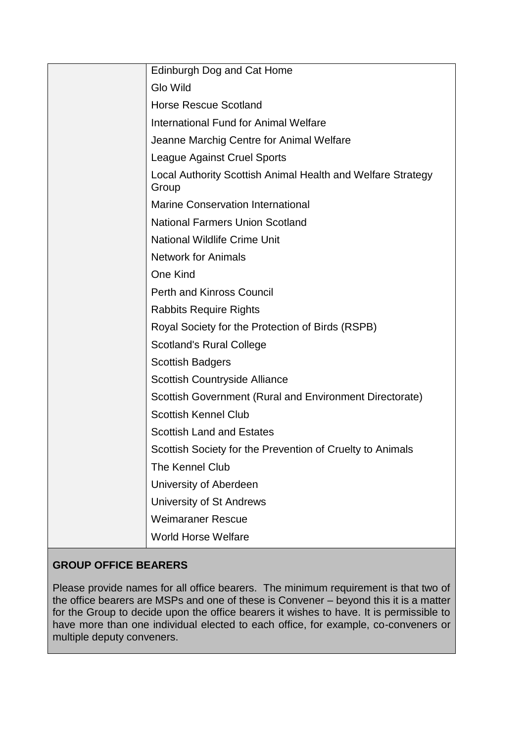| Edinburgh Dog and Cat Home                                           |
|----------------------------------------------------------------------|
| <b>Glo Wild</b>                                                      |
| <b>Horse Rescue Scotland</b>                                         |
| International Fund for Animal Welfare                                |
| Jeanne Marchig Centre for Animal Welfare                             |
| <b>League Against Cruel Sports</b>                                   |
| Local Authority Scottish Animal Health and Welfare Strategy<br>Group |
| <b>Marine Conservation International</b>                             |
| <b>National Farmers Union Scotland</b>                               |
| <b>National Wildlife Crime Unit</b>                                  |
| <b>Network for Animals</b>                                           |
| One Kind                                                             |
| <b>Perth and Kinross Council</b>                                     |
| <b>Rabbits Require Rights</b>                                        |
| Royal Society for the Protection of Birds (RSPB)                     |
| <b>Scotland's Rural College</b>                                      |
| <b>Scottish Badgers</b>                                              |
| <b>Scottish Countryside Alliance</b>                                 |
| Scottish Government (Rural and Environment Directorate)              |
| <b>Scottish Kennel Club</b>                                          |
| <b>Scottish Land and Estates</b>                                     |
| Scottish Society for the Prevention of Cruelty to Animals            |
| The Kennel Club                                                      |
| University of Aberdeen                                               |
| University of St Andrews                                             |
| <b>Weimaraner Rescue</b>                                             |
| <b>World Horse Welfare</b>                                           |

# **GROUP OFFICE BEARERS**

Please provide names for all office bearers. The minimum requirement is that two of the office bearers are MSPs and one of these is Convener – beyond this it is a matter for the Group to decide upon the office bearers it wishes to have. It is permissible to have more than one individual elected to each office, for example, co-conveners or multiple deputy conveners.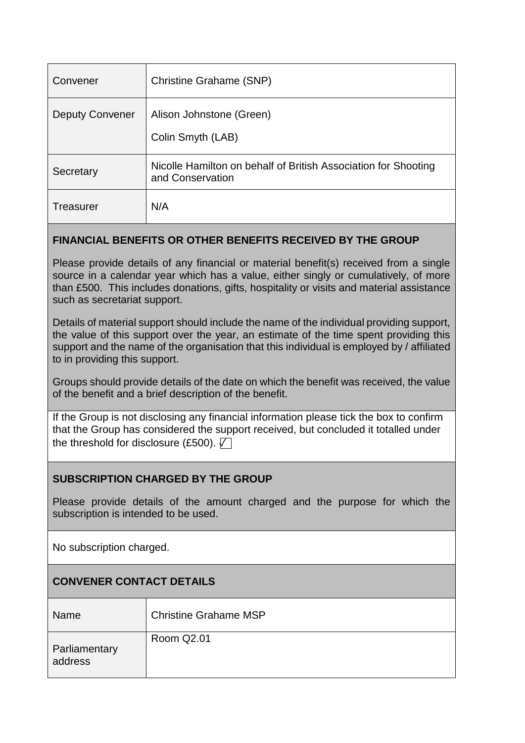| Convener               | <b>Christine Grahame (SNP)</b>                                                     |
|------------------------|------------------------------------------------------------------------------------|
| <b>Deputy Convener</b> | Alison Johnstone (Green)<br>Colin Smyth (LAB)                                      |
| Secretary              | Nicolle Hamilton on behalf of British Association for Shooting<br>and Conservation |
| Treasurer              | N/A                                                                                |

#### **FINANCIAL BENEFITS OR OTHER BENEFITS RECEIVED BY THE GROUP**

Please provide details of any financial or material benefit(s) received from a single source in a calendar year which has a value, either singly or cumulatively, of more than £500. This includes donations, gifts, hospitality or visits and material assistance such as secretariat support.

Details of material support should include the name of the individual providing support, the value of this support over the year, an estimate of the time spent providing this support and the name of the organisation that this individual is employed by / affiliated to in providing this support.

Groups should provide details of the date on which the benefit was received, the value of the benefit and a brief description of the benefit.

If the Group is not disclosing any financial information please tick the box to confirm that the Group has considered the support received, but concluded it totalled under the threshold for disclosure (£500).  $\nabla$ 

# **SUBSCRIPTION CHARGED BY THE GROUP**

Please provide details of the amount charged and the purpose for which the subscription is intended to be used.

No subscription charged.

# **CONVENER CONTACT DETAILS**

| <b>Name</b>              | <b>Christine Grahame MSP</b> |
|--------------------------|------------------------------|
| Parliamentary<br>address | Room Q2.01                   |